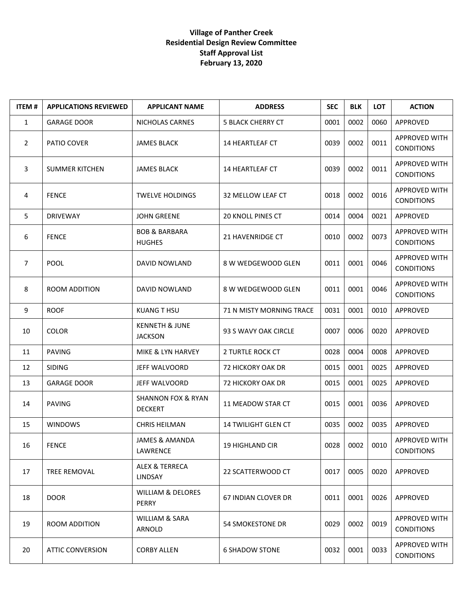## **Village of Panther Creek Residential Design Review Committee Staff Approval List February 13, 2020**

| <b>ITEM#</b>   | <b>APPLICATIONS REVIEWED</b> | <b>APPLICANT NAME</b>                           | <b>ADDRESS</b>           | <b>SEC</b> | <b>BLK</b> | <b>LOT</b> | <b>ACTION</b>                             |
|----------------|------------------------------|-------------------------------------------------|--------------------------|------------|------------|------------|-------------------------------------------|
| $\mathbf{1}$   | <b>GARAGE DOOR</b>           | NICHOLAS CARNES                                 | <b>5 BLACK CHERRY CT</b> | 0001       | 0002       | 0060       | APPROVED                                  |
| $\overline{2}$ | PATIO COVER                  | <b>JAMES BLACK</b>                              | <b>14 HEARTLEAF CT</b>   | 0039       | 0002       | 0011       | <b>APPROVED WITH</b><br><b>CONDITIONS</b> |
| 3              | <b>SUMMER KITCHEN</b>        | <b>JAMES BLACK</b>                              | 14 HEARTLEAF CT          | 0039       | 0002       | 0011       | APPROVED WITH<br><b>CONDITIONS</b>        |
| 4              | <b>FENCE</b>                 | <b>TWELVE HOLDINGS</b>                          | 32 MELLOW LEAF CT        | 0018       | 0002       | 0016       | <b>APPROVED WITH</b><br><b>CONDITIONS</b> |
| 5              | <b>DRIVEWAY</b>              | <b>JOHN GREENE</b>                              | 20 KNOLL PINES CT        | 0014       | 0004       | 0021       | APPROVED                                  |
| 6              | <b>FENCE</b>                 | <b>BOB &amp; BARBARA</b><br><b>HUGHES</b>       | 21 HAVENRIDGE CT         | 0010       | 0002       | 0073       | APPROVED WITH<br><b>CONDITIONS</b>        |
| $\overline{7}$ | <b>POOL</b>                  | DAVID NOWLAND                                   | 8 W WEDGEWOOD GLEN       | 0011       | 0001       | 0046       | APPROVED WITH<br><b>CONDITIONS</b>        |
| 8              | ROOM ADDITION                | DAVID NOWLAND                                   | 8 W WEDGEWOOD GLEN       | 0011       | 0001       | 0046       | APPROVED WITH<br><b>CONDITIONS</b>        |
| 9              | <b>ROOF</b>                  | <b>KUANG T HSU</b>                              | 71 N MISTY MORNING TRACE | 0031       | 0001       | 0010       | APPROVED                                  |
| 10             | <b>COLOR</b>                 | <b>KENNETH &amp; JUNE</b><br><b>JACKSON</b>     | 93 S WAVY OAK CIRCLE     | 0007       | 0006       | 0020       | APPROVED                                  |
| 11             | <b>PAVING</b>                | MIKE & LYN HARVEY                               | 2 TURTLE ROCK CT         | 0028       | 0004       | 0008       | APPROVED                                  |
| 12             | <b>SIDING</b>                | JEFF WALVOORD                                   | 72 HICKORY OAK DR        | 0015       | 0001       | 0025       | APPROVED                                  |
| 13             | <b>GARAGE DOOR</b>           | JEFF WALVOORD                                   | <b>72 HICKORY OAK DR</b> | 0015       | 0001       | 0025       | APPROVED                                  |
| 14             | <b>PAVING</b>                | <b>SHANNON FOX &amp; RYAN</b><br><b>DECKERT</b> | 11 MEADOW STAR CT        | 0015       | 0001       | 0036       | APPROVED                                  |
| 15             | <b>WINDOWS</b>               | <b>CHRIS HEILMAN</b>                            | 14 TWILIGHT GLEN CT      | 0035       | 0002       | 0035       | APPROVED                                  |
| 16             | <b>FENCE</b>                 | <b>JAMES &amp; AMANDA</b><br>LAWRENCE           | <b>19 HIGHLAND CIR</b>   | 0028       | 0002       | 0010       | APPROVED WITH<br><b>CONDITIONS</b>        |
| 17             | <b>TREE REMOVAL</b>          | ALEX & TERRECA<br>LINDSAY                       | 22 SCATTERWOOD CT        | 0017       | 0005       | 0020       | APPROVED                                  |
| 18             | <b>DOOR</b>                  | <b>WILLIAM &amp; DELORES</b><br><b>PERRY</b>    | 67 INDIAN CLOVER DR      | 0011       | 0001       | 0026       | APPROVED                                  |
| 19             | ROOM ADDITION                | WILLIAM & SARA<br>ARNOLD                        | 54 SMOKESTONE DR         | 0029       | 0002       | 0019       | APPROVED WITH<br><b>CONDITIONS</b>        |
| 20             | <b>ATTIC CONVERSION</b>      | <b>CORBY ALLEN</b>                              | <b>6 SHADOW STONE</b>    | 0032       | 0001       | 0033       | APPROVED WITH<br><b>CONDITIONS</b>        |